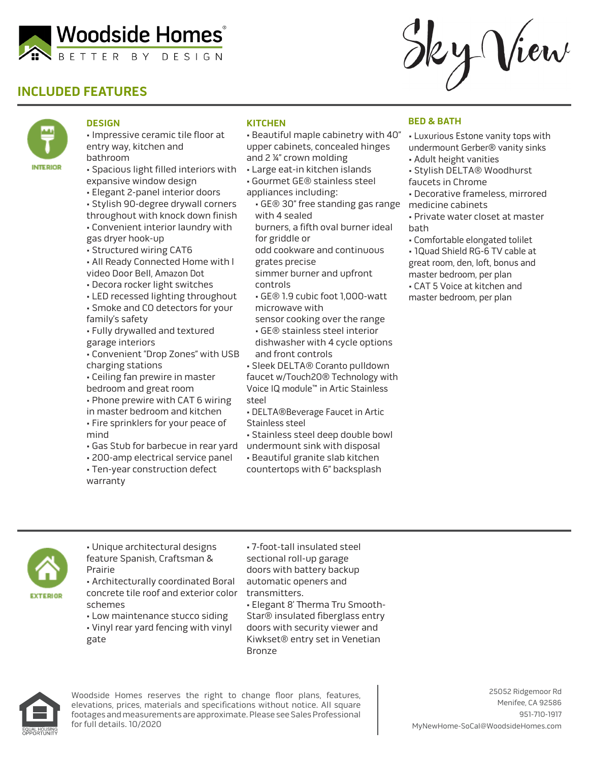

# **INCLUDED FEATURES**



#### **DESIGN**

- Impressive ceramic tile floor at entry way, kitchen and bathroom
- Spacious light filled interiors with expansive window design
- Elegant 2-panel interior doors
- Stylish 90-degree drywall corners throughout with knock down finish
- Convenient interior laundry with gas dryer hook-up
- Structured wiring CAT6
- All Ready Connected Home with l video Door Bell, Amazon Dot
- Decora rocker light switches
- LED recessed lighting throughout • Smoke and CO detectors for your family's safety
- Fully drywalled and textured garage interiors
- Convenient "Drop Zones" with USB charging stations
- Ceiling fan prewire in master bedroom and great room
- Phone prewire with CAT 6 wiring in master bedroom and kitchen
- Fire sprinklers for your peace of mind
- Gas Stub for barbecue in rear yard
- 200-amp electrical service panel
- Ten-year construction defect warranty

### **KITCHEN**

- Beautiful maple cabinetry with 40" upper cabinets, concealed hinges and 2 ¼" crown molding
- Large eat-in kitchen islands
- Gourmet GE® stainless steel
- appliances including:
	- GE® 30" free standing gas range with 4 sealed
	- burners, a fifth oval burner ideal for griddle or
	- odd cookware and continuous grates precise
	- simmer burner and upfront controls
	- GE® 1.9 cubic foot 1,000-watt microwave with
	- sensor cooking over the range • GE® stainless steel interior dishwasher with 4 cycle options and front controls
- Sleek DELTA® Coranto pulldown faucet w/Touch20® Technology with Voice IQ module™ in Artic Stainless steel
- DELTA®Beverage Faucet in Artic Stainless steel
- Stainless steel deep double bowl
- undermount sink with disposal
- Beautiful granite slab kitchen
- countertops with 6" backsplash

### **BED & BATH**

• Luxurious Estone vanity tops with undermount Gerber® vanity sinks

2 y View

- Adult height vanities
- Stylish DELTA® Woodhurst faucets in Chrome
- Decorative frameless, mirrored medicine cabinets
- Private water closet at master bath
- Comfortable elongated tolilet
- 1Quad Shield RG-6 TV cable at great room, den, loft, bonus and master bedroom, per plan
- CAT 5 Voice at kitchen and master bedroom, per plan



• Unique architectural designs feature Spanish, Craftsman & Prairie

• Architecturally coordinated Boral concrete tile roof and exterior color schemes

• Low maintenance stucco siding

• Vinyl rear yard fencing with vinyl gate

• 7-foot-tall insulated steel sectional roll-up garage doors with battery backup automatic openers and transmitters. • Elegant 8' Therma Tru Smooth-Star® insulated fiberglass entry doors with security viewer and Kiwkset® entry set in Venetian Bronze



Woodside Homes reserves the right to change floor plans, features, elevations, prices, materials and specifications without notice. All square footages and measurements are approximate. Please see Sales Professional for full details. 10/2020